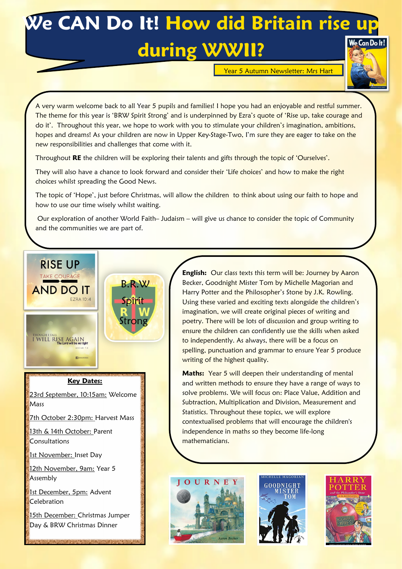## **We CAN Do It! How did Britain rise up during WWII?**

Year 5 Autumn Newsletter: Mrs Hart



A very warm welcome back to all Year 5 pupils and families! I hope you had an enjoyable and restful summer. The theme for this year is 'BRW Spirit Strong' and is underpinned by Ezra's quote of 'Rise up, take courage and do it'. Throughout this year, we hope to work with you to stimulate your children's imagination, ambitions, hopes and dreams! As your children are now in Upper Key-Stage-Two, I'm sure they are eager to take on the new responsibilities and challenges that come with it.

Throughout **RE** the children will be exploring their talents and gifts through the topic of 'Ourselves'.

They will also have a chance to look forward and consider their 'Life choices' and how to make the right choices whilst spreading the Good News.

The topic of 'Hope', just before Christmas, will allow the children to think about using our faith to hope and how to use our time wisely whilst waiting.

Our exploration of another World Faith– Judaism – will give us chance to consider the topic of Community and the communities we are part of.



23rd September, 10:15am: Welcome **Mass** 

7th October 2:30pm: Harvest Mass

13th & 14th October: Parent **Consultations** 

1st November: Inset Day

12th November, 9am: Year 5 Assembly

1st December, 5pm: Advent Celebration

15th December: Christmas Jumper Day & BRW Christmas Dinner

**English:** Our class texts this term will be: Journey by Aaron Becker, Goodnight Mister Tom by Michelle Magorian and Harry Potter and the Philosopher's Stone by J.K. Rowling. Using these varied and exciting texts alongside the children's imagination, we will create original pieces of writing and poetry. There will be lots of discussion and group writing to ensure the children can confidently use the skills when asked to independently. As always, there will be a focus on spelling, punctuation and grammar to ensure Year 5 produce writing of the highest quality.

**Maths:** Year 5 will deepen their understanding of mental and written methods to ensure they have a range of ways to solve problems. We will focus on: Place Value, Addition and Subtraction, Multiplication and Division, Measurement and Statistics. Throughout these topics, we will explore contextualised problems that will encourage the children's independence in maths so they become life-long mathematicians.